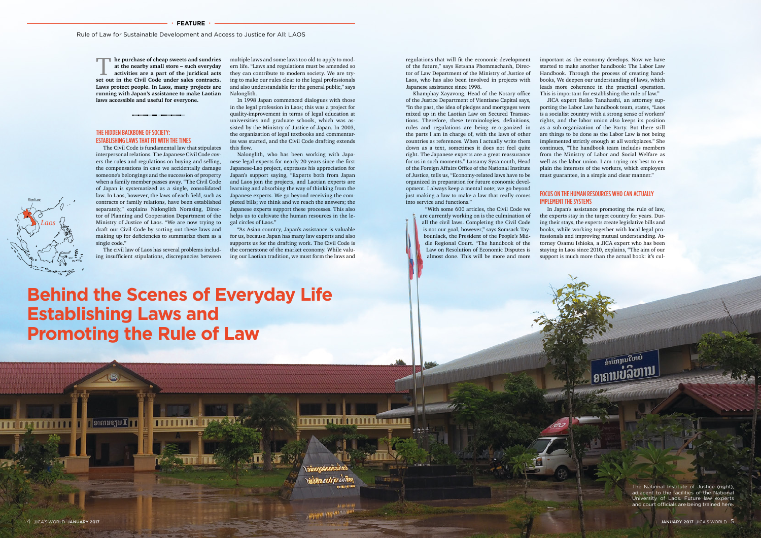important as the economy develops. Now we have started to make another handbook: The Labor Law Handbook. Through the process of creating handbooks, We deepen our understanding of laws, which leads more coherence in the practical operation. This is important for establishing the rule of law."

# FOCUS ON THE HUMAN RESOURCES WHO CAN ACTUALLY IMPI FMFNT THE SYSTEMS

JICA expert Reiko Tanahashi, an attorney supporting the Labor Law handbook team, states, "Laos is a socialist country with a strong sense of workers' rights, and the labor union also keeps its position as a sub-organization of the Party. But there still are things to be done as the Labor Law is not being implemented strictly enough at all workplaces." She continues, "The handbook team includes members from the Ministry of Labor and Social Welfare as well as the labor union. I am trying my best to explain the interests of the workers, which employers must guarantee, in a simple and clear manner."

In Japan's assistance promoting the rule of law, the experts stay in the target country for years. During their stays, the experts create legislative bills and books, while working together with local legal professionals and improving mutual understanding. Attorney Osamu Ishioka, a JICA expert who has been staying in Laos since 2010, explains, "The aim of our support is much more than the actual book: it's cul-

multiple laws and some laws too old to apply to modern life. "Laws and regulations must be amended so they can contribute to modern society. We are trying to make our rules clear to the legal professionals and also understandable for the general public," says Nalonglith.

In 1998 Japan commenced dialogues with those in the legal profession in Laos; this was a project for quality-improvement in terms of legal education at universities and graduate schools, which was assisted by the Ministry of Justice of Japan. In 2003, the organization of legal textbooks and commentaries was started, and the Civil Code drafting extends this flow.

**he purchase of cheap sweets and sundries** at the nearby small store – such everyday activities are a part of the juridical acts set out in the Civil Code under sales contracts. **at the nearby small store – such everyday activities are a part of the juridical acts Laws protect people. In Laos, many projects are running with Japan's assistance to make Laotian laws accessible and useful for everyone.**

Nalonglith, who has been working with Japanese legal experts for nearly 20 years since the first Japanese-Lao project, expresses his appreciation for Japan's support saying, "Experts both from Japan and Laos join the projects, and Laotian experts are learning and absorbing the way of thinking from the Japanese experts. We go beyond receiving the completed bills; we think and we reach the answers; the Japanese experts support these processes. This also helps us to cultivate the human resources in the legal circles of Laos."

"As Asian country, Japan's assistance is valuable for us, because Japan has many law experts and also supports us for the drafting work. The Civil Code is the cornerstone of the market economy. While valuing our Laotian tradition, we must form the laws and

mm sanaa

regulations that will fit the economic development of the future," says Ketsana Phommachanh, Director of Law Department of the Ministry of Justice of Laos, who has also been involved in projects with Japanese assistance since 1998.

Khamphay Xayavong, Head of the Notary office of the Justice Department of Vientiane Capital says, "In the past, the idea of pledges and mortgages were mixed up in the Laotian Law on Secured Transactions. Therefore, these terminologies, definitions, rules and regulations are being re-organized in the parts I am in charge of, with the laws of other countries as references. When I actually write them down as a text, sometimes it does not feel quite right. The Japanese experts are a great reassurance for us in such moments." Latsamy Sysamouth, Head of the Foreign Affairs Office of the National Institute of Justice, tells us, "Economy-related laws have to be organized in preparation for future economic development. I always keep a mental note; we go beyond just making a law to make a law that really comes into service and functions."

> "With some 600 articles, the Civil Code we are currently working on is the culmination of all the civil laws. Completing the Civil Code is not our goal, however," says Somsack Taybounlack, the President of the People's Middle Regional Court. "The handbook of the Law on Resolution of Economic Disputes is almost done. This will be more and more

# THE HIDDEN BACKBONE OF SOCIETY: ESTABLISHING LAWS THAT FIT WITH THE TIMES

The Civil Code is fundamental law that stipulates interpersonal relations. The Japanese Civil Code covers the rules and regulations on buying and selling, the compensations in case we accidentally damage someone's belongings and the succession of property when a family member passes away. "The Civil Code of Japan is systematized as a single, consolidated law. In Laos, however, the laws of each field, such as contracts or family relations, have been established separately," explains Nalonglith Norasing, Director of Planning and Cooperation Department of the Ministry of Justice of Laos. "We are now trying to draft our Civil Code by sorting out these laws and making up for deficiencies to summarize them as a single code."

The civil law of Laos has several problems including insufficient stipulations, discrepancies between

> The National Institute of Justice (right), adjacent to the facilities of the National University of Laos. Future law experts and court officials are being trained here.

Vientiane

*Laos*

สามทานใยเย

# **Behind the Scenes of Everyday Life Establishing Laws and Promoting the Rule of Law**

 $|$ ອາຄານຮານ $\mathbb I|$